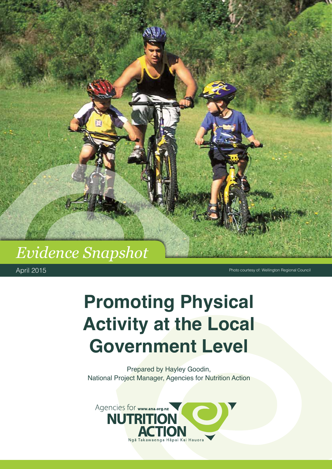# *Evidence Snapshot*

April 2015

Photo courtesy of: Wellington Regional Council

# **Promoting Physical Activity at the Local Government Level**

Prepared by Hayley Goodin, National Project Manager, Agencies for Nutrition Action

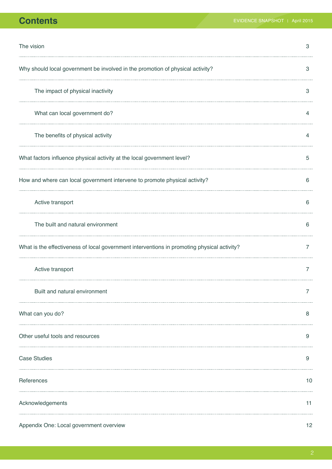| The vision                                                                                  | 3  |
|---------------------------------------------------------------------------------------------|----|
| Why should local government be involved in the promotion of physical activity?              | З  |
| The impact of physical inactivity                                                           | 3  |
| What can local government do?                                                               | 4  |
| The benefits of physical activity                                                           | 4  |
| What factors influence physical activity at the local government level?                     | 5  |
| How and where can local government intervene to promote physical activity?                  | 6  |
| Active transport                                                                            | 6  |
| The built and natural environment                                                           | 6  |
| What is the effectiveness of local government interventions in promoting physical activity? | 7  |
| Active transport                                                                            | 7  |
| Built and natural environment                                                               |    |
| What can you do?                                                                            | 8  |
| Other useful tools and resources                                                            | 9  |
| <b>Case Studies</b>                                                                         | 9  |
| References                                                                                  | 10 |
| Acknowledgements                                                                            | 11 |
| Appendix One: Local government overview                                                     | 12 |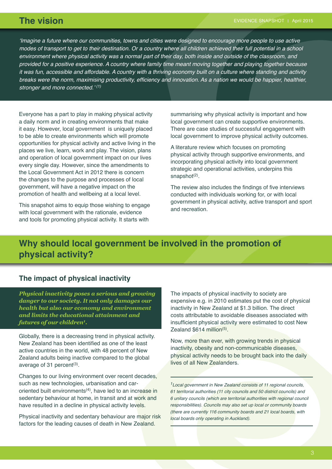'Imagine a future where our communities, towns and cities were designed to encourage more people to use active modes of transport to get to their destination. Or a country where all children achieved their full potential in a school environment where physical activity was a normal part of their day, both inside and outside of the classroom, and provided for a positive experience. A country where family time meant moving together and playing together because it was fun, accessible and affordable. A country with a thriving economy built on a culture where standing and activity breaks were the norm, maximising productivity, efficiency and innovation. As a nation we would be happier, healthier, stronger and more connected.' *(1)*

Everyone has a part to play in making physical activity a daily norm and in creating environments that make it easy. However, local government is uniquely placed to be able to create environments which will promote opportunities for physical activity and active living in the places we live, learn, work and play. The vision, plans and operation of local government impact on our lives every single day. However, since the amendments to the Local Government Act in 2012 there is concern the changes to the purpose and processes of local government, will have a negative impact on the promotion of health and wellbeing at a local level.

This snapshot aims to equip those wishing to engage with local government with the rationale, evidence and tools for promoting physical activity. It starts with

summarising why physical activity is important and how local government can create supportive environments. There are case studies of successful engagement with local government to improve physical activity outcomes.

A literature review which focuses on promoting physical activity through supportive environments, and incorporating physical activity into local government strategic and operational activities, underpins this snapshot $(2)$ .

The review also includes the findings of five interviews conducted with individuals working for, or with local government in physical activity, active transport and sport and recreation.

## **Why should local government be involved in the promotion of physical activity?**

#### **The impact of physical inactivity**

*Physical inactivity poses a serious and growing danger to our society. It not only damages our health but also our economy and environment and limits the educational attainment and futures of our children<sup>1</sup> .*

Globally, there is a decreasing trend in physical activity. New Zealand has been identified as one of the least active countries in the world, with 48 percent of New Zealand adults being inactive compared to the global average of 31 percent $(3)$ .

Changes to our living environment over recent decades, such as new technologies, urbanisation and caroriented built environments $(4)$ , have led to an increase in sedentary behaviour at home, in transit and at work and have resulted in a decline in physical activity levels.

Physical inactivity and sedentary behaviour are major risk factors for the leading causes of death in New Zealand.

The impacts of physical inactivity to society are expensive e.g. in 2010 estimates put the cost of physical inactivity in New Zealand at \$1.3 billion. The direct costs attributable to avoidable diseases associated with insufficient physical activity were estimated to cost New Zealand  $$614$  million<sup>(5)</sup>.

Now, more than ever, with growing trends in physical inactivity, obesity and non-communicable diseases, physical activity needs to be brought back into the daily lives of all New Zealanders.

*<sup>1</sup>*Local government in New Zealand consists of 11 regional councils, 61 territorial authorities (11 city councils and 50 district councils) and 6 unitary councils (which are territorial authorities with regional council responsibilities). Councils may also set up local or community boards (there are currently 116 community boards and 21 local boards, with local boards only operating in Auckland).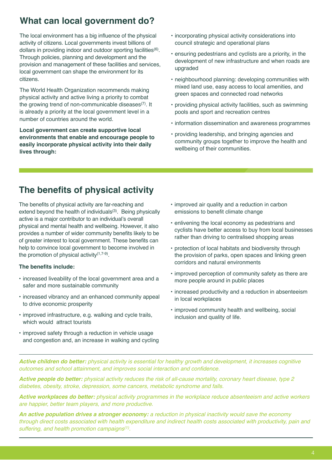# **What can local government do?**

The local environment has a big influence of the physical activity of citizens. Local governments invest billions of dollars in providing indoor and outdoor sporting facilities(6). Through policies, planning and development and the provision and management of these facilities and services, local government can shape the environment for its citizens.

The World Health Organization recommends making physical activity and active living a priority to combat the growing trend of non-communicable diseases $(7)$ . It is already a priority at the local government level in a number of countries around the world.

**Local government can create supportive local environments that enable and encourage people to easily incorporate physical activity into their daily lives through:**

- incorporating physical activity considerations into council strategic and operational plans
- ensuring pedestrians and cyclists are a priority, in the development of new infrastructure and when roads are upgraded
- neighbourhood planning: developing communities with mixed land use, easy access to local amenities, and green spaces and connected road networks
- providing physical activity facilities, such as swimming pools and sport and recreation centres
- information dissemination and awareness programmes
- providing leadership, and bringing agencies and community groups together to improve the health and wellbeing of their communities.

## **The benefits of physical activity**

The benefits of physical activity are far-reaching and extend beyond the health of individuals<sup>(3)</sup>. Being physically active is a major contributor to an individual's overall physical and mental health and wellbeing. However, it also provides a number of wider community benefits likely to be of greater interest to local government. These benefits can help to convince local government to become involved in the promotion of physical activity $(1,7-9)$ .

#### **The benefits include:**

- increased liveability of the local government area and a safer and more sustainable community
- increased vibrancy and an enhanced community appeal to drive economic prosperity
- improved infrastructure, e.g. walking and cycle trails, which would attract tourists
- improved safety through a reduction in vehicle usage and congestion and, an increase in walking and cycling
- improved air quality and a reduction in carbon emissions to benefit climate change
- enlivening the local economy as pedestrians and cyclists have better access to buy from local businesses rather than driving to centralised shopping areas
- protection of local habitats and biodiversity through the provision of parks, open spaces and linking green corridors and natural environments
- improved perception of community safety as there are more people around in public places
- increased productivity and a reduction in absenteeism in local workplaces
- improved community health and wellbeing, social inclusion and quality of life.

*Active children do better:* physical activity is essential for healthy growth and development, it increases cognitive outcomes and school attainment, and improves social interaction and confidence.

*Active people do better:* physical activity reduces the risk of all-cause mortality, coronary heart disease, type 2 diabetes, obesity, stroke, depression, some cancers, metabolic syndrome and falls.

*Active workplaces do better:* physical activity programmes in the workplace reduce absenteeism and active workers are happier, better team players, and more productive.

*An active population drives a stronger economy:* a reduction in physical inactivity would save the economy through direct costs associated with health expenditure and indirect health costs associated with productivity, pain and suffering, and health promotion campaigns*(1)*.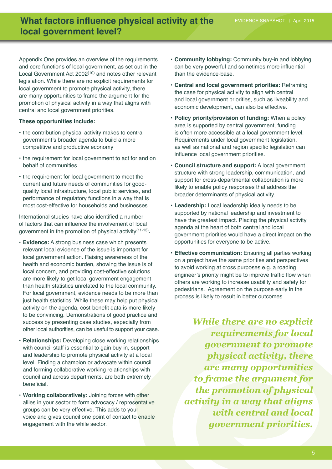### **What factors influence physical activity at the EVIDENCE SNAPSHOT | April 2015 local government level?**

Appendix One provides an overview of the requirements and core functions of local government, as set out in the Local Government Act 2002<sup>(10)</sup> and notes other relevant legislation. While there are no explicit requirements for local government to promote physical activity, there are many opportunities to frame the argument for the promotion of physical activity in a way that aligns with central and local government priorities.

#### **These opportunities include:**

- the contribution physical activity makes to central government's broader agenda to build a more competitive and productive economy
- the requirement for local government to act for and on behalf of communities
- the requirement for local government to meet the current and future needs of communities for goodquality local infrastructure, local public services, and performance of regulatory functions in a way that is most cost-effective for households and businesses.

International studies have also identified a number of factors that can influence the involvement of local government in the promotion of physical activity<sup>(11-13)</sup>.

- **• Evidence:** A strong business case which presents relevant local evidence of the issue is important for local government action. Raising awareness of the health and economic burden, showing the issue is of local concern, and providing cost-effective solutions are more likely to get local government engagement than health statistics unrelated to the local community. For local government, evidence needs to be more than just health statistics. While these may help put physical activity on the agenda, cost-benefit data is more likely to be convincing. Demonstrations of good practice and success by presenting case studies, especially from other local authorities, can be useful to support your case.
- **• Relationships:** Developing close working relationships with council staff is essential to gain buy-in, support and leadership to promote physical activity at a local level. Finding a champion or advocate within council and forming collaborative working relationships with council and across departments, are both extremely beneficial.
- **• Working collaboratively:** Joining forces with other allies in your sector to form advocacy / representative groups can be very effective. This adds to your voice and gives council one point of contact to enable engagement with the while sector.
- **• Community lobbying:** Community buy-in and lobbying can be very powerful and sometimes more influential than the evidence-base.
- **• Central and local government priorities:** Reframing the case for physical activity to align with central and local government priorities, such as liveability and economic development, can also be effective.
- **• Policy priority/provision of funding:** When a policy area is supported by central government, funding is often more accessible at a local government level. Requirements under local government legislation, as well as national and region specific legislation can influence local government priorities.
- **• Council structure and support:** A local government structure with strong leadership, communication, and support for cross-departmental collaboration is more likely to enable policy responses that address the broader determinants of physical activity.
- **• Leadership:** Local leadership ideally needs to be supported by national leadership and investment to have the greatest impact. Placing the physical activity agenda at the heart of both central and local government priorities would have a direct impact on the opportunities for everyone to be active.
- **• Effective communication:** Ensuring all parties working on a project have the same priorities and perspectives to avoid working at cross purposes e.g. a roading engineer's priority might be to improve traffic flow when others are working to increase usability and safety for pedestrians. Agreement on the purpose early in the process is likely to result in better outcomes.

*While there are no explicit requirements for local government to promote physical activity, there are many opportunities to frame the argument for the promotion of physical activity in a way that aligns with central and local government priorities.*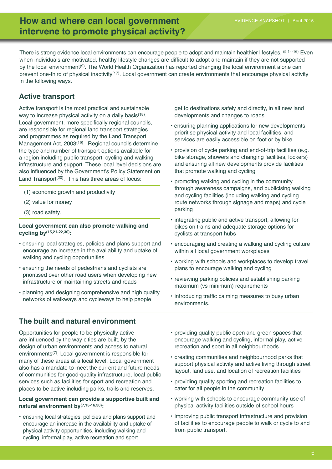### **How and where can local government EVIDENCE SNAPSHOT | April 2015 intervene to promote physical activity?**

There is strong evidence local environments can encourage people to adopt and maintain healthier lifestyles. (9,14-16) Even when individuals are motivated, healthy lifestyle changes are difficult to adopt and maintain if they are not supported by the local environment(9). The World Health Organization has reported changing the local environment alone can prevent one-third of physical inactivity<sup> $(17)$ </sup>. Local government can create environments that encourage physical activity in the following ways.

### **Active transport**

Active transport is the most practical and sustainable way to increase physical activity on a daily basis<sup>(18)</sup>. Local government, more specifically regional councils, are responsible for regional land transport strategies and programmes as required by the Land Transport Management Act, 2003<sup>(19)</sup>. Regional councils determine the type and number of transport options available for a region including public transport, cycling and walking infrastructure and support. These local level decisions are also influenced by the Government's Policy Statement on Land Transport<sup>(20)</sup>. This has three areas of focus:

- (1) economic growth and productivity
- (2) value for money
- (3) road safety.

#### **Local government can also promote walking and cycling by(15,21-22,30):**

- ensuring local strategies, policies and plans support and encourage an increase in the availability and uptake of walking and cycling opportunities
- ensuring the needs of pedestrians and cyclists are prioritised over other road users when developing new infrastructure or maintaining streets and roads
- planning and designing comprehensive and high quality networks of walkways and cycleways to help people

### **The built and natural environment**

Opportunities for people to be physically active are influenced by the way cities are built, by the design of urban environments and access to natural environments(7). Local government is responsible for many of these areas at a local level. Local government also has a mandate to meet the current and future needs of communities for good-quality infrastructure, local public services such as facilities for sport and recreation and places to be active including parks, trails and reserves.

#### **Local government can provide a supportive built and natural environment by(7,15-16,30):**

• ensuring local strategies, policies and plans support and encourage an increase in the availability and uptake of physical activity opportunities, including walking and cycling, informal play, active recreation and sport

get to destinations safely and directly, in all new land developments and changes to roads

- ensuring planning applications for new developments prioritise physical activity and local facilities, and services are easily accessible on foot or by bike
- provision of cycle parking and end-of-trip facilities (e.g. bike storage, showers and changing facilities, lockers) and ensuring all new developments provide facilities that promote walking and cycling
- promoting walking and cycling in the community through awareness campaigns, and publicising walking and cycling facilities (including walking and cycling route networks through signage and maps) and cycle parking
- integrating public and active transport, allowing for bikes on trains and adequate storage options for cyclists at transport hubs
- encouraging and creating a walking and cycling culture within all local government workplaces
- working with schools and workplaces to develop travel plans to encourage walking and cycling
- reviewing parking policies and establishing parking maximum (vs minimum) requirements
- introducing traffic calming measures to busy urban environments.
- providing quality public open and green spaces that encourage walking and cycling, informal play, active recreation and sport in all neighbourhoods
- creating communities and neighbourhood parks that support physical activity and active living through street layout, land use, and location of recreation facilities
- providing quality sporting and recreation facilities to cater for all people in the community
- working with schools to encourage community use of physical activity facilities outside of school hours
- improving public transport infrastructure and provision of facilities to encourage people to walk or cycle to and from public transport.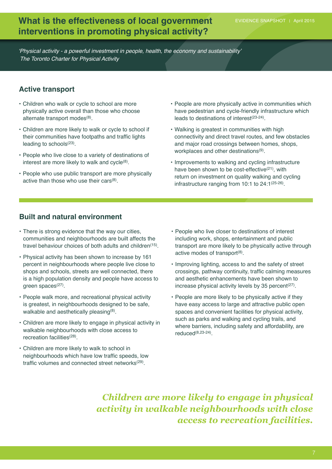### **What is the effectiveness of local government** EVIDENCE SNAPSHOT | April 2015 **interventions in promoting physical activity?**

'Physical activity - a powerful investment in people, health, the economy and sustainability' The Toronto Charter for Physical Activity

### **Active transport**

- Children who walk or cycle to school are more physically active overall than those who choose alternate transport modes<sup>(8)</sup>.
- Children are more likely to walk or cycle to school if their communities have footpaths and traffic lights leading to schools $(23)$ .
- People who live close to a variety of destinations of interest are more likely to walk and cycle $(8)$ .
- People who use public transport are more physically active than those who use their cars $(8)$ .
- People are more physically active in communities which have pedestrian and cycle-friendly infrastructure which leads to destinations of interest(23-24).
- Walking is greatest in communities with high connectivity and direct travel routes, and few obstacles and major road crossings between homes, shops, workplaces and other destinations<sup>(9)</sup>.
- Improvements to walking and cycling infrastructure have been shown to be cost-effective<sup>(21)</sup>, with return on investment on quality walking and cycling infrastructure ranging from 10:1 to 24:1(25-26).

### **Built and natural environment**

- There is strong evidence that the way our cities, communities and neighbourhoods are built affects the travel behaviour choices of both adults and children<sup>(15)</sup>.
- Physical activity has been shown to increase by 161 percent in neighbourhoods where people live close to shops and schools, streets are well connected, there is a high population density and people have access to green spaces $(27)$ .
- People walk more, and recreational physical activity is greatest, in neighbourhoods designed to be safe, walkable and aesthetically pleasing<sup>(8)</sup>.
- Children are more likely to engage in physical activity in walkable neighbourhoods with close access to recreation facilities(28).
- Children are more likely to walk to school in neighbourhoods which have low traffic speeds, low traffic volumes and connected street networks<sup>(29)</sup>.
- People who live closer to destinations of interest including work, shops, entertainment and public transport are more likely to be physically active through active modes of transport<sup>(8)</sup>.
- Improving lighting, access to and the safety of street crossings, pathway continuity, traffic calming measures and aesthetic enhancements have been shown to increase physical activity levels by 35 percent $(27)$ .
- People are more likely to be physically active if they have easy access to large and attractive public open spaces and convenient facilities for physical activity, such as parks and walking and cycling trails, and where barriers, including safety and affordability, are reduced(8,23-24).

*Children are more likely to engage in physical activity in walkable neighbourhoods with close access to recreation facilities.*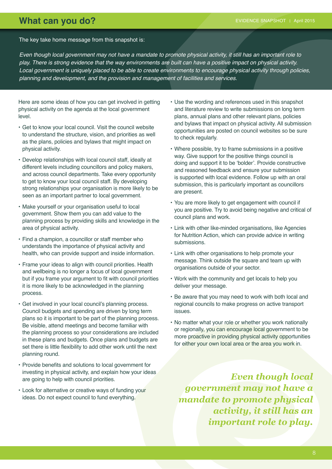### **What can you do?** EVIDENCE SNAPSHOT April 2015

The key take home message from this snapshot is:

Even though local government may not have a mandate to promote physical activity, it still has an important role to play. There is strong evidence that the way environments are built can have a positive impact on physical activity. Local government is uniquely placed to be able to create environments to encourage physical activity through policies, planning and development, and the provision and management of facilities and services.

Here are some ideas of how you can get involved in getting physical activity on the agenda at the local government level.

- Get to know your local council. Visit the council website to understand the structure, vision, and priorities as well as the plans, policies and bylaws that might impact on physical activity.
- Develop relationships with local council staff, ideally at different levels including councillors and policy makers, and across council departments. Take every opportunity to get to know your local council staff. By developing strong relationships your organisation is more likely to be seen as an important partner to local government.
- Make yourself or your organisation useful to local government. Show them you can add value to the planning process by providing skills and knowledge in the area of physical activity.
- Find a champion, a councillor or staff member who understands the importance of physical activity and health, who can provide support and inside information.
- Frame your ideas to align with council priorities. Health and wellbeing is no longer a focus of local government but if you frame your argument to fit with council priorities it is more likely to be acknowledged in the planning process.
- Get involved in your local council's planning process. Council budgets and spending are driven by long term plans so it is important to be part of the planning process. Be visible, attend meetings and become familiar with the planning process so your considerations are included in these plans and budgets. Once plans and budgets are set there is little flexibility to add other work until the next planning round.
- • Provide benefits and solutions to local government for investing in physical activity, and explain how your ideas are going to help with council priorities.
- Look for alternative or creative ways of funding your ideas. Do not expect council to fund everything.
- Use the wording and references used in this snapshot and literature review to write submissions on long term plans, annual plans and other relevant plans, policies and bylaws that impact on physical activity. All submission opportunities are posted on council websites so be sure to check regularly.
- Where possible, try to frame submissions in a positive way. Give support for the positive things council is doing and support it to be 'bolder'. Provide constructive and reasoned feedback and ensure your submission is supported with local evidence. Follow up with an oral submission, this is particularly important as councillors are present.
- You are more likely to get engagement with council if you are positive. Try to avoid being negative and critical of council plans and work.
- Link with other like-minded organisations, like Agencies for Nutrition Action, which can provide advice in writing submissions.
- Link with other organisations to help promote your message. Think outside the square and team up with organisations outside of your sector.
- Work with the community and get locals to help you deliver your message.
- Be aware that you may need to work with both local and regional councils to make progress on active transport issues.
- No matter what your role or whether you work nationally or regionally, you can encourage local government to be more proactive in providing physical activity opportunities for either your own local area or the area you work in.

*Even though local government may not have a mandate to promote physical activity, it still has an important role to play.*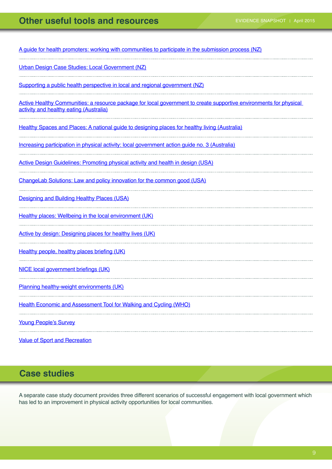### **Other useful tools and resources EVIDENCE SNAPSHOT | April 2015**

[A guide for health promoters: working with communities to participate in the submission process \(NZ\)](http://www.rph.org.nz/content/50f5b95e-5a77-40e5-96f7-4426050d1725.cmr)

[Urban Design Case Studies: Local Government \(NZ\)](http://www.mfe.govt.nz/publications/towns-and-cities/urban-design-case-studies-local-government)

[Supporting a public health perspective in local and regional government \(NZ\)](http://www.pha.org.nz/influencingph.html)

[Active Healthy Communities: a resource package for local government to create supportive environments for physical](http://www.activehealthycommunities.com.au/content/useful-resources)  [activity and healthy eating \(Australia\)](http://www.activehealthycommunities.com.au/content/useful-resources)

,我们就会在这里,我们就会在这里,我们就会在这里,我们就会在这里,我们就会在这里,我们就会在这里,我们就会在这里,我们就会在这里,我们就会在这里,我们就会在这里

[Healthy Spaces and Places: A national guide to designing places for healthy living \(Australia\)](http://www.heartfoundation.org.au/active-living/Documents/HSP-Overview.pdf)

[Increasing participation in physical activity: local government action guide no. 3 \(Australia\)](https://www.vichealth.vic.gov.au/~/media/Indicators/Overview%20sheets/10/VH_LG%20Guides_Physical%20Activity_web.pdf?la=en)

[Active Design Guidelines: Promoting physical activity and health in design \(USA\)](http://www.centerforactivedesign.org/dl/guidelines.pdf)

[ChangeLab Solutions: Law and policy innovation for the common good \(USA\)](http://changelabsolutions.org/)

[Designing and Building Healthy Places \(USA\)](http://www.cdc.gov/healthyplaces/)

[Healthy places: Wellbeing in the local environment \(UK\)](http://www.healthyplaces.org.uk/)

[Active by design: Designing places for healthy lives \(UK\)](http://www.designcouncil.org.uk/knowledge-resources/guide/active-design-designing-places-healthier-lives)

[Healthy](http://www.gov.uk/government/uploads/system/uploads/attachment_data/file/256796/Briefing_Obesity_and_active_travel_final.pdf) people, healthy places briefing (UK)

NICE local [government](http://www.nice.org.uk/about/what-we-do/our-programmes/nice-advice/local-government-briefings) briefings (UK)

[Planning healthy-weight environments \(UK\)](http://www.tcpa.org.uk/data/files/Health_and_planning/Health_2014/PHWE_Report_Final.pdf) 

[Health Economic and Assessment Tool for Walking and Cycling \(WHO\)](http://www.heatwalkingcycling.org/)

Young [People's](http://www.sportnz.org.nz/managing-sport/research/young-peoples-survey-2011) Survey 

[Value of Sport and Recreation](http://www.sportnz.org.nz/managing-sport/research/the-economic-and-social-value-of-sport-and-recreation-to-new-zealand-)

### **Case studies**

A separate case study document provides three different scenarios of successful engagement with local government which has led to an improvement in physical activity opportunities for local communities.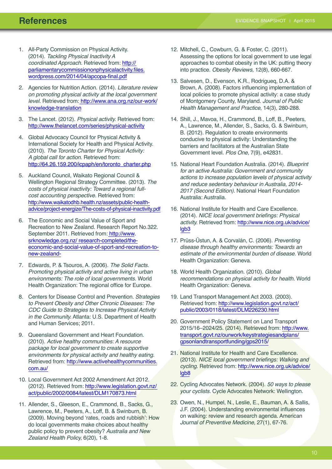- 1. All-Party Commission on Physical Activity. (2014). Tackling Physical Inactivity A coordinated Approach. Retrieved from: [http://](http://parliamentarycommissiononphysicalactivity.files.wordpress.com/2014/04/apcopa-final.pdf)  [parliamentarycommissiononphysicalactivity.files.](http://parliamentarycommissiononphysicalactivity.files.wordpress.com/2014/04/apcopa-final.pdf)   [wordpress.com/2014/04/apcopa-final.pdf](http://parliamentarycommissiononphysicalactivity.files.wordpress.com/2014/04/apcopa-final.pdf)
- 2. Agencies for Nutrition Action. (2014). Literature review on promoting physical activity at the local government level. Retrieved from: [http://www.ana.org.nz/our-work/](http://www.ana.org.nz/our-work/knowledge-translation) [knowledge-translation](http://www.ana.org.nz/our-work/knowledge-translation)
- 3. The Lancet. (2012). Physical activity. Retrieved from: <http://www.thelancet.com/series/physical-activity>
- 4. Global Advocacy Council for Physical Activity & International Society for Health and Physical Activity. (2010). The Toronto Charter for Physical Activity: A global call for action. Retrieved from: [http://64.26.159.200/icpaph/en/toronto\\_charter.php](http://64.26.159.200/icpaph/en/toronto_charter.php)
- 5. Auckland Council, Waikato Regional Council & Wellington Regional Strategy Committee. (2013). The costs of physical inactivity: Toward a regional fullcost accounting perspective. Retrieved from: [http://www.waikatodhb.health.nz/assets/public-health](http://www.waikatodhb.health.nz/assets/public-health-advice/project-energize/The-costs-of-physical-inactivity.pdf)[advice/project-energize/The-costs-of-physical-inactivity.pdf](http://www.waikatodhb.health.nz/assets/public-health-advice/project-energize/The-costs-of-physical-inactivity.pdf)
- 6. The Economic and Social Value of Sport and Recreation to New Zealand. Research Report No.322. September 2011. Retrieved from: [http://www.](http://www.srknowledge.org.nz/research-completed/the-economic-and-social-value-of-sport-and-recreation-to-new-zealand-) [srknowledge.org.nz/ research-completed/the](http://www.srknowledge.org.nz/research-completed/the-economic-and-social-value-of-sport-and-recreation-to-new-zealand-)[economic-and-social-value-of-sport-and-recreation-to](http://www.srknowledge.org.nz/research-completed/the-economic-and-social-value-of-sport-and-recreation-to-new-zealand-)[new-zealand-](http://www.srknowledge.org.nz/research-completed/the-economic-and-social-value-of-sport-and-recreation-to-new-zealand-)
- 7. Edwards, P. & Tsouros, A. (2006). The Solid Facts. Promoting physical activity and active living in urban environments: The role of local governments. World Health Organization: The regional office for Europe.
- 8. Centers for Disease Control and Prevention. Strategies to Prevent Obesity and Other Chronic Diseases: The CDC Guide to Strategies to Increase Physical Activity in the Community. Atlanta: U.S. Department of Health and Human Services; 2011.
- 9. Queensland Government and Heart Foundation. (2010). Active healthy communities: A resource package for local government to create supportive environments for physical activity and healthy eating. Retrieved from: [http://www.activehealthycommunities.](http://www.activehealthycommunities.com.au) [com.au/](http://www.activehealthycommunities.com.au)
- 10. Local Government Act 2002 Amendment Act 2012. (2012). Retrieved from: [http://www.legislation.govt.nz/](http://www.legislation.govt.nz/act/public/2002/0084/latest/DLM170873.html) [act/public/2002/0084/latest/DLM170873.html](http://www.legislation.govt.nz/act/public/2002/0084/latest/DLM170873.html)
- 11. Allender, S., Gleeson, E., Crammond, B., Sacks, G., Lawrence, M., Peeters, A., Loff, B. & Swinburn, B. (2009). Moving beyond 'rates, roads and rubbish': How do local governments make choices about healthy public policy to prevent obesity? Australia and New Zealand Health Policy, 6(20), 1-8.
- 12. Mitchell, C., Cowburn, G. & Foster, C. (2011). Assessing the options for local government to use legal approaches to combat obesity in the UK: putting theory into practice. Obesity Reviews, 12(8), 660-667.
- 13. Salvesen, D., Evenson, K.R., Rodrigueq, D.A. & Brown, A. (2008). Factors influencing implementation of local policies to promote physical activity: a case study of Montgomery County, Maryland. Journal of Public Health Management and Practice, 14(3), 280-288.
- 14. Shill, J., Mavoa, H., Crammond, B., Loff, B., Peeters, A., Lawrence, M., Allender, S., Sacks, G. & Swinburn, B. (2012). Regulation to create environments conducive to physical activity: Understanding the barriers and facilitators at the Australian State Government level. Plos One, 7(9), e42831.
- 15. National Heart Foundation Australia. (2014). Blueprint for an active Australia: Government and community actions to increase population levels of physical activity and reduce sedentary behaviour in Australia, 2014- 2017 (Second Edition). National Heart Foundation Australia: Australia.
- 16. National Institute for Health and Care Excellence. (2014). NICE local government briefings: Physical activity. Retrieved from: [http://www.nice.org.uk/advice/](http://www.nice.org.uk/advice/lgb3) [lgb3](http://www.nice.org.uk/advice/lgb3)
- 17. Prüss-Üstun, A. & Corvalán, C. (2006). Preventing disease through healthy environments: Towards an estimate of the environmental burden of disease. World Health Organization: Geneva.
- 18. World Health Organization. (2010). Global recommendations on physical activity for health. World Health Organization: Geneva.
- 19. Land Transport Management Act 2003. (2003). Retrieved from: [http://www.legislation.govt.nz/act/](http://www.legislation.govt.nz/act/public/2003/0118/latest/DLM226230.html) [public/2003/0118/latest/DLM226230.html](http://www.legislation.govt.nz/act/public/2003/0118/latest/DLM226230.html)
- 20. Government Policy Statement on Land Transport 2015/16–2024/25. (2014). Retrieved from: [http://www.](http://www.transport.govt.nz/ourwork/keystrategiesandplans/gpsonlandtransportfunding/gps2015/) [transport.govt.nz/ourwork/keystrategiesandplans/](http://www.transport.govt.nz/ourwork/keystrategiesandplans/gpsonlandtransportfunding/gps2015/) [gpsonlandtransportfunding/gps2015/](http://www.transport.govt.nz/ourwork/keystrategiesandplans/gpsonlandtransportfunding/gps2015/)
- 21. National Institute for Health and Care Excellence. (2013). NICE local government briefings: Walking and cycling. Retrieved from: [http://www.nice.org.uk/advice/](http://www.nice.org.uk/advice/lgb8) [lgb8](http://www.nice.org.uk/advice/lgb8)
- 22. Cycling Advocates Network. (2004). 50 ways to please your cyclists. Cycle Advocates Network: Wellington.
- 23. Owen, N., Humpel, N., Leslie, E., Bauman, A. & Sallis, J.F. (2004). Understanding environmental influences on walking: review and research agenda. American Journal of Preventive Medicine, 27(1), 67-76.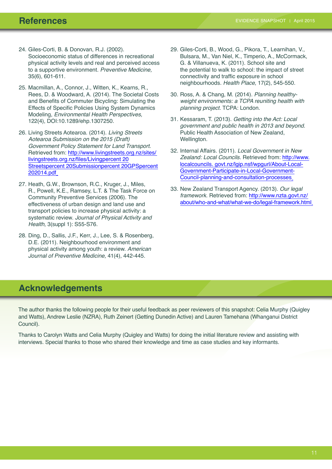- 24. Giles-Corti, B. & Donovan, R.J. (2002). Socioeconomic status of differences in recreational physical activity levels and real and perceived access to a supportive environment. Preventive Medicine, 35(6), 601-611.
- 25. Macmillan, A., Connor, J., Witten, K., Kearns, R., Rees, D. & Woodward, A. (2014). The Societal Costs and Benefits of Commuter Bicycling: Simulating the Effects of Specific Policies Using System Dynamics Modeling, Environmental Health Perspectives, 122(4), DOI:10.1289/ehp.1307250.
- 26. Living Streets Aotearoa. (2014). Living Streets Aotearoa Submission on the 2015 (Draft) Government Policy Statement for Land Transport. Retrieved from: [http://www.livingstreets.org.nz/sites/](http://www.livingstreets.org.nz/sites/livingstreets.org.nz/files/Living%20Streets%20Submission%20GPS%202014.pdf)  [livingstreets.org.nz/files/Livingpercent](http://www.livingstreets.org.nz/sites/livingstreets.org.nz/files/Living%20Streets%20Submission%20GPS%202014.pdf) 20 [Streetspercent 20Submissionpercent 20GPSpercent](http://www.livingstreets.org.nz/sites/livingstreets.org.nz/files/Living%20Streets%20Submission%20GPS%202014.pdf)  [202014.pdf](http://www.livingstreets.org.nz/sites/livingstreets.org.nz/files/Living%20Streets%20Submission%20GPS%202014.pdf)
- 27. Heath, G.W., Brownson, R.C., Kruger, J., Miles, R., Powell, K.E., Ramsey, L.T. & The Task Force on Community Preventive Services (2006). The effectiveness of urban design and land use and transport policies to increase physical activity: a systematic review. Journal of Physical Activity and Health, 3(suppl 1): S55-S76.
- 28. Ding, D., Sallis, J.F., Kerr, J., Lee, S. & Rosenberg, D.E. (2011). Neighbourhood environment and physical activity among youth: a review. American Journal of Preventive Medicine, 41(4), 442-445.
- 29. Giles-Corti, B., Wood, G., Pikora, T., Learnihan, V., Bulsara, M., Van Niel, K., Timperio, A., McCormack, G. & Villanueva, K. (2011). School site and the potential to walk to school: the impact of street connectivity and traffic exposure in school neighbourhoods. Health Place, 17(2), 545-550.
- 30. Ross, A. & Chang, M. (2014). Planning healthyweight environments: a TCPA reuniting health with planning project. TCPA: London.
- 31. Kessaram, T. (2013). Getting into the Act: Local government and public health in 2013 and beyond. Public Health Association of New Zealand, Wellington.
- 32. Internal Affairs. (2011). Local Government in New Zealand: Local Councils. Retrieved from: [http://www.](http://www.localcouncils.govt.nz/lgip.nsf/wpgurl/About-Local-Government-Participate-in-Local-Government-Council-planning-and-consultation-processes) [localcouncils. govt.nz/lgip.nsf/wpgurl/About-Local-](http://www.localcouncils.govt.nz/lgip.nsf/wpgurl/About-Local-Government-Participate-in-Local-Government-Council-planning-and-consultation-processes)[Government-Participate-in-Local-Government-](http://www.localcouncils.govt.nz/lgip.nsf/wpgurl/About-Local-Government-Participate-in-Local-Government-Council-planning-and-consultation-processes)[Council-planning-and-consultation-processes](http://www.localcouncils.govt.nz/lgip.nsf/wpgurl/About-Local-Government-Participate-in-Local-Government-Council-planning-and-consultation-processes)
- 33. New Zealand Transport Agency. (2013). Our legal framework. Retrieved from: [http://www.nzta.govt.nz/](http://www.nzta.govt.nz/about/who-and-what/what-we-do/legal-framework.html) [about/who-and-what/what-we-do/legal-framework.html](http://www.nzta.govt.nz/about/who-and-what/what-we-do/legal-framework.html)

### **Acknowledgements**

The author thanks the following people for their useful feedback as peer reviewers of this snapshot: Celia Murphy (Quigley and Watts), Andrew Leslie (NZRA), Ruth Zeinert (Getting Dunedin Active) and Lauren Tamehana (Whanganui District Council).

Thanks to Carolyn Watts and Celia Murphy (Quigley and Watts) for doing the initial literature review and assisting with interviews. Special thanks to those who shared their knowledge and time as case studies and key informants.